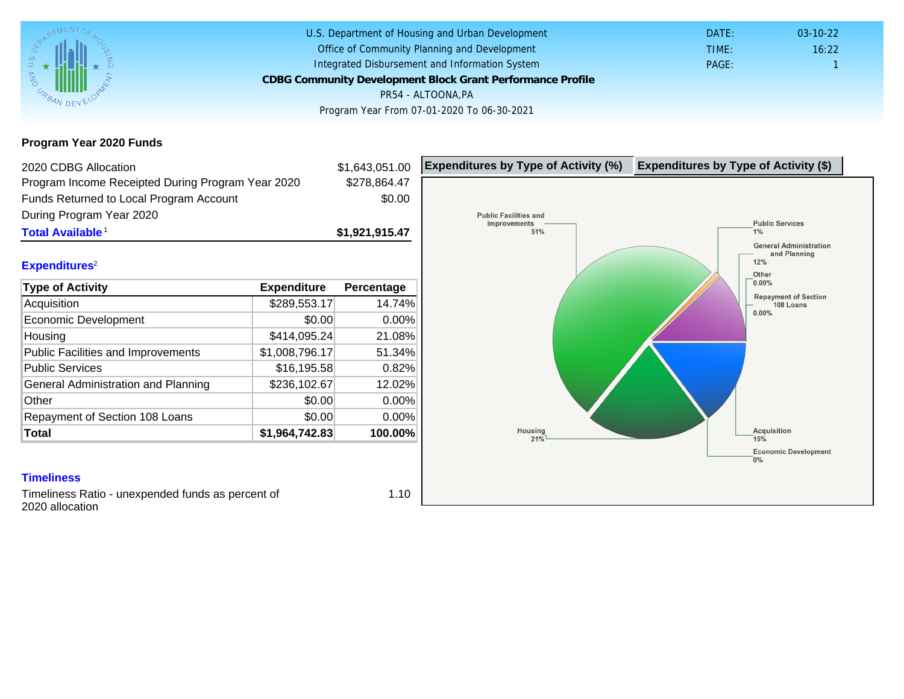Program Year 2020 Funds

| 2020 CDBG Allocation                              |                | \$1,643,051.00 | Expenditures by Type of Activity (%) | Expenditure |
|---------------------------------------------------|----------------|----------------|--------------------------------------|-------------|
| Program Income Receipted During Program Year 2020 |                | \$278,864.47   |                                      |             |
| Funds Returned to Local Program Account           |                | \$0.00         |                                      |             |
| During Program Year 2020                          |                |                |                                      |             |
| Total Available <sup>1</sup>                      |                | \$1,921,915.47 |                                      |             |
|                                                   |                |                |                                      |             |
| Expenditures <sup>2</sup>                         |                |                |                                      |             |
| Type of Activity                                  | Expenditure    | Percentage     |                                      |             |
| Acquisition                                       | \$289,553.17   | 14.74%         |                                      |             |
| Economic Development                              | \$0.00         | 0.00%          |                                      |             |
| Housing                                           | \$414,095.24   | 21.08%         |                                      |             |
| Public Facilities and Improvements                | \$1,008,796.17 | 51.34%         |                                      |             |
| <b>Public Services</b>                            | \$16,195.58    | 0.82%          |                                      |             |
| General Administration and Planning               | \$236,102.67   | 12.02%         |                                      |             |
| Other                                             | \$0.00         | 0.00%          |                                      |             |
| Repayment of Section 108 Loans                    | \$0.00         | 0.00%          |                                      |             |
| Total                                             | \$1,964,742.83 | 100.00%        |                                      |             |
|                                                   |                |                |                                      |             |
|                                                   |                |                |                                      |             |
| <b>Timeliness</b>                                 |                |                |                                      |             |

Timeliness Ratio - unexpended funds as percent of 2020 allocation

1.10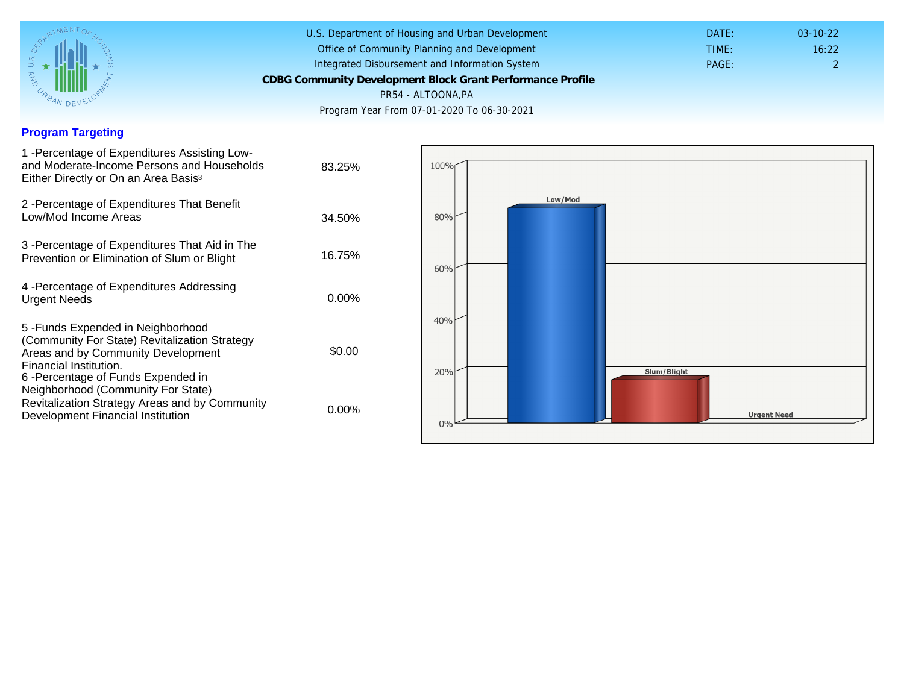### Program Targeting

| 1 -Percentage of Expenditures Assisting Low-<br>and Moderate-Income Persons and Households<br>Either Directly or On an Area Basis <sup>3</sup>                                                                                 | 83.25%   |
|--------------------------------------------------------------------------------------------------------------------------------------------------------------------------------------------------------------------------------|----------|
| 2 - Percentage of Expenditures That Benefit<br>Low/Mod Income Areas                                                                                                                                                            | 34.50%   |
| 3 -Percentage of Expenditures That Aid in The<br>Prevention or Elimination of Slum or Blight                                                                                                                                   | 16.75%   |
| 4 - Percentage of Expenditures Addressing<br><b>Urgent Needs</b>                                                                                                                                                               | $0.00\%$ |
| 5 - Funds Expended in Neighborhood<br>(Community For State) Revitalization Strategy<br>Areas and by Community Development<br>Financial Institution.<br>6-Percentage of Funds Expended in<br>Neighborhood (Community For State) | \$0.00   |
| Revitalization Strategy Areas and by Community<br>Development Financial Institution                                                                                                                                            | $0.00\%$ |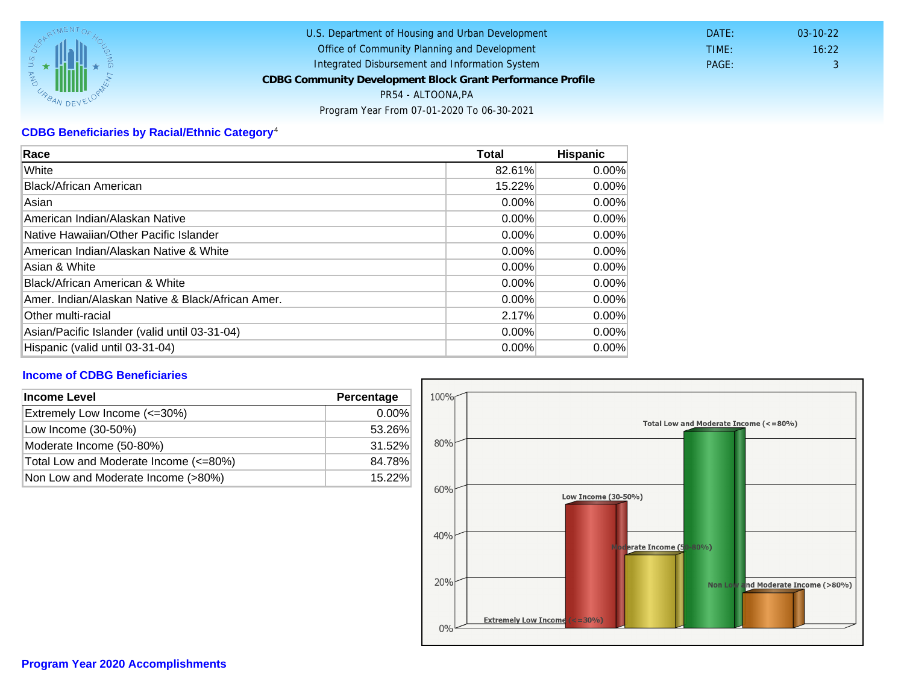# CDBG Beneficiaries by Racial/Ethnic Category <sup>4</sup>

| Race                                              | Total    | Hispanic |
|---------------------------------------------------|----------|----------|
| White                                             | 82.61%   | $0.00\%$ |
| Black/African American                            | 15.22%   | $0.00\%$ |
| Asian                                             | $0.00\%$ | $0.00\%$ |
| IAmerican Indian/Alaskan Native                   | $0.00\%$ | $0.00\%$ |
| lNative Hawaiian/Other Pacific Islander           | $0.00\%$ | $0.00\%$ |
| American Indian/Alaskan Native & White            | $0.00\%$ | $0.00\%$ |
| Asian & White                                     | 0.00%    | $0.00\%$ |
| Black/African American & White                    | $0.00\%$ | 0.00%    |
| Amer. Indian/Alaskan Native & Black/African Amer. | $0.00\%$ | $0.00\%$ |
| <b>Other multi-racial</b>                         | 2.17%    | 0.00%    |
| Asian/Pacific Islander (valid until 03-31-04)     | 0.00%    | 0.00%    |
| Hispanic (valid until 03-31-04)                   | $0.00\%$ | $0.00\%$ |

## Income of CDBG Beneficiaries

| Income Level                          | Percentage |  |
|---------------------------------------|------------|--|
| Extremely Low Income (<=30%)          | $0.00\%$   |  |
| Low Income (30-50%)                   | 53.26%     |  |
| Moderate Income (50-80%)              | 31.52%     |  |
| Total Low and Moderate Income (<=80%) | 84.78%     |  |
| Non Low and Moderate Income (>80%)    | 15.22%     |  |